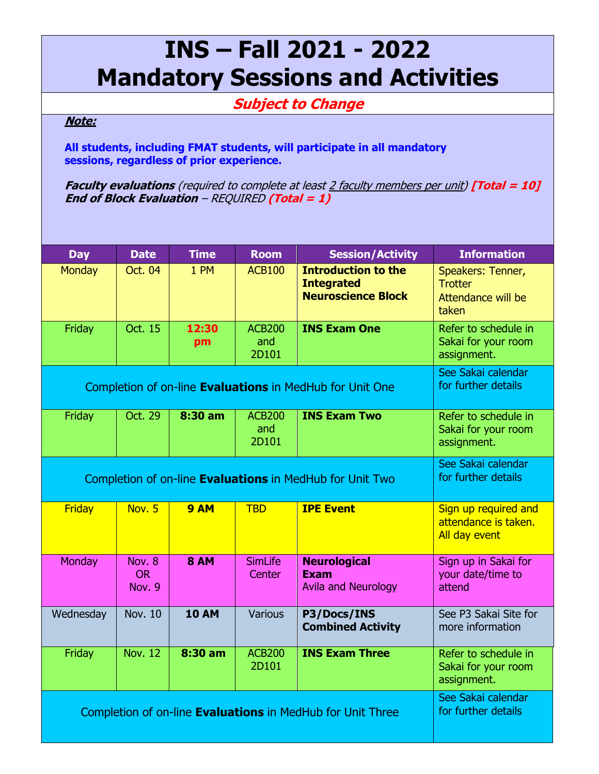## **INS – Fall 2021 - 2022 Mandatory Sessions and Activities**

## **Subject to Change**

## **Note:**

**All students, including FMAT students, will participate in all mandatory sessions, regardless of prior experience.**

**Faculty evaluations** (required to complete at least 2 faculty members per unit) **[Total = 10] End of Block Evaluation** – REQUIRED **(Total = 1)**

| <b>Day</b>                                                      | <b>Date</b>         | <b>Time</b>  | <b>Room</b>    | <b>Session/Activity</b>    | <b>Information</b>    |
|-----------------------------------------------------------------|---------------------|--------------|----------------|----------------------------|-----------------------|
| <b>Monday</b>                                                   | Oct. 04             | 1 PM         | <b>ACB100</b>  | <b>Introduction to the</b> | Speakers: Tenner,     |
|                                                                 |                     |              |                | <b>Integrated</b>          | <b>Trotter</b>        |
|                                                                 |                     |              |                | <b>Neuroscience Block</b>  | Attendance will be    |
|                                                                 |                     |              |                |                            | taken                 |
| Friday                                                          | Oct. 15             | 12:30        | <b>ACB200</b>  | <b>INS Exam One</b>        | Refer to schedule in  |
|                                                                 |                     | pm           | and            |                            | Sakai for your room   |
|                                                                 |                     |              | 2D101          |                            | assignment.           |
|                                                                 |                     |              |                |                            | See Sakai calendar    |
| Completion of on-line <b>Evaluations</b> in MedHub for Unit One | for further details |              |                |                            |                       |
|                                                                 |                     |              |                |                            |                       |
| Friday                                                          | Oct. 29             | 8:30 am      | <b>ACB200</b>  | <b>INS Exam Two</b>        | Refer to schedule in  |
|                                                                 |                     |              | and            |                            | Sakai for your room   |
|                                                                 |                     |              | 2D101          |                            | assignment.           |
|                                                                 | See Sakai calendar  |              |                |                            |                       |
| Completion of on-line Evaluations in MedHub for Unit Two        | for further details |              |                |                            |                       |
|                                                                 |                     |              |                |                            |                       |
| <b>Friday</b>                                                   | Nov. 5              | <b>9 AM</b>  | <b>TBD</b>     | <b>IPE Event</b>           | Sign up required and  |
|                                                                 |                     |              |                |                            | attendance is taken.  |
|                                                                 |                     |              |                |                            | All day event         |
| Monday                                                          | Nov. 8              | <b>8 AM</b>  | <b>SimLife</b> | <b>Neurological</b>        | Sign up in Sakai for  |
|                                                                 | <b>OR</b>           |              | Center         | <b>Exam</b>                | your date/time to     |
|                                                                 | Nov. 9              |              |                | <b>Avila and Neurology</b> | attend                |
|                                                                 |                     |              |                |                            |                       |
| Wednesday                                                       | <b>Nov. 10</b>      | <b>10 AM</b> | <b>Various</b> | P3/Docs/INS                | See P3 Sakai Site for |
|                                                                 |                     |              |                | <b>Combined Activity</b>   | more information      |
|                                                                 |                     |              |                |                            |                       |
| Friday                                                          | <b>Nov. 12</b>      | 8:30 am      | <b>ACB200</b>  | <b>INS Exam Three</b>      | Refer to schedule in  |
|                                                                 |                     |              | 2D101          |                            | Sakai for your room   |
|                                                                 |                     |              |                |                            | assignment.           |
|                                                                 | See Sakai calendar  |              |                |                            |                       |
| Completion of on-line Evaluations in MedHub for Unit Three      | for further details |              |                |                            |                       |
|                                                                 |                     |              |                |                            |                       |
|                                                                 |                     |              |                |                            |                       |